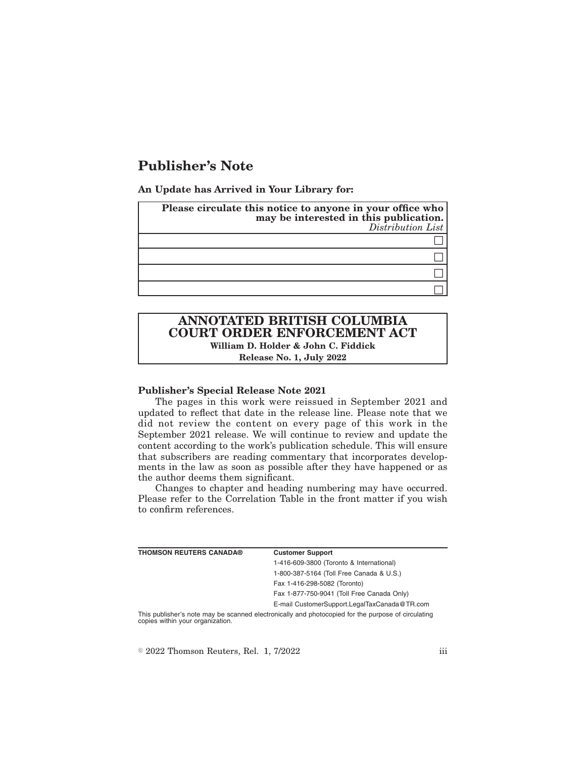# **Publisher's Note**

**An Update has Arrived in Your Library for:**

| Please circulate this notice to anyone in your office who<br>may be interested in this publication.<br>Distribution List |
|--------------------------------------------------------------------------------------------------------------------------|
|                                                                                                                          |
|                                                                                                                          |
|                                                                                                                          |
|                                                                                                                          |

# **ANNOTATED BRITISH COLUMBIA COURT ORDER ENFORCEMENT ACT William D. Holder & John C. Fiddick**

**Release No. 1, July 2022**

#### **Publisher's Special Release Note 2021**

The pages in this work were reissued in September 2021 and updated to reflect that date in the release line. Please note that we did not review the content on every page of this work in the September 2021 release. We will continue to review and update the content according to the work's publication schedule. This will ensure that subscribers are reading commentary that incorporates developments in the law as soon as possible after they have happened or as the author deems them significant.

Changes to chapter and heading numbering may have occurred. Please refer to the Correlation Table in the front matter if you wish to confirm references.

| <b>THOMSON REUTERS CANADA®</b>                                                                     | <b>Customer Support</b>                      |
|----------------------------------------------------------------------------------------------------|----------------------------------------------|
|                                                                                                    | 1-416-609-3800 (Toronto & International)     |
|                                                                                                    | 1-800-387-5164 (Toll Free Canada & U.S.)     |
|                                                                                                    | Fax 1-416-298-5082 (Toronto)                 |
|                                                                                                    | Fax 1-877-750-9041 (Toll Free Canada Only)   |
|                                                                                                    | E-mail CustomerSupport.LegalTaxCanada@TR.com |
| This publisher's note may be scanned electronically and photocopied for the purpose of circulating |                                              |

copies within your organization.

 $\textdegree$  2022 Thomson Reuters, Rel. 1, 7/2022 iii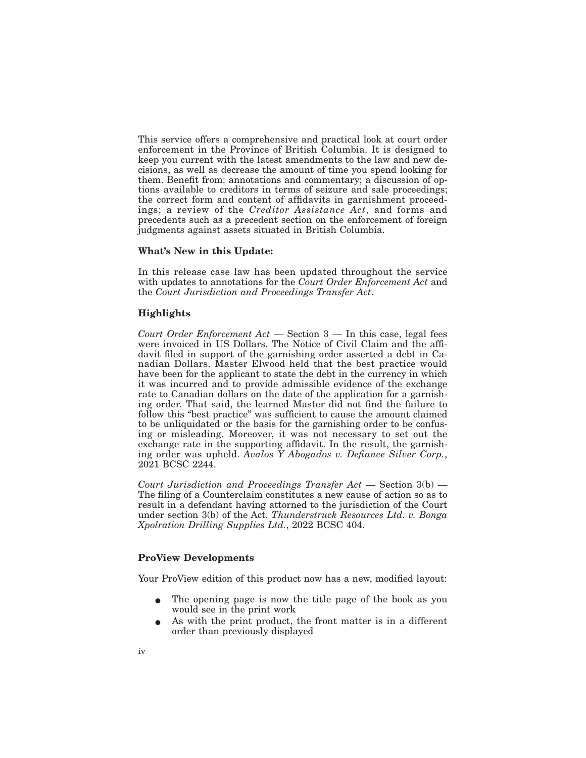This service offers a comprehensive and practical look at court order enforcement in the Province of British Columbia. It is designed to keep you current with the latest amendments to the law and new decisions, as well as decrease the amount of time you spend looking for them. Benefit from: annotations and commentary; a discussion of options available to creditors in terms of seizure and sale proceedings; the correct form and content of affidavits in garnishment proceedings; a review of the *Creditor Assistance Act*, and forms and precedents such as a precedent section on the enforcement of foreign judgments against assets situated in British Columbia.

#### **What's New in this Update:**

In this release case law has been updated throughout the service with updates to annotations for the *Court Order Enforcement Act* and the *Court Jurisdiction and Proceedings Transfer Act*.

## **Highlights**

*Court Order Enforcement Act* — Section 3 — In this case, legal fees were invoiced in US Dollars. The Notice of Civil Claim and the affidavit filed in support of the garnishing order asserted a debt in Canadian Dollars. Master Elwood held that the best practice would have been for the applicant to state the debt in the currency in which it was incurred and to provide admissible evidence of the exchange rate to Canadian dollars on the date of the application for a garnishing order. That said, the learned Master did not find the failure to follow this "best practice" was sufficient to cause the amount claimed to be unliquidated or the basis for the garnishing order to be confusing or misleading. Moreover, it was not necessary to set out the exchange rate in the supporting affidavit. In the result, the garnishing order was upheld. *Avalos Y Abogados v. Defiance Silver Corp.*, 2021 BCSC 2244.

*Court Jurisdiction and Proceedings Transfer Act* — Section 3(b) — The filing of a Counterclaim constitutes a new cause of action so as to result in a defendant having attorned to the jurisdiction of the Court under section 3(b) of the Act. *Thunderstruck Resources Ltd. v. Bonga Xpolration Drilling Supplies Ltd.*, 2022 BCSC 404.

## **ProView Developments**

Your ProView edition of this product now has a new, modified layout:

- The opening page is now the title page of the book as you would see in the print work
- As with the print product, the front matter is in a different order than previously displayed